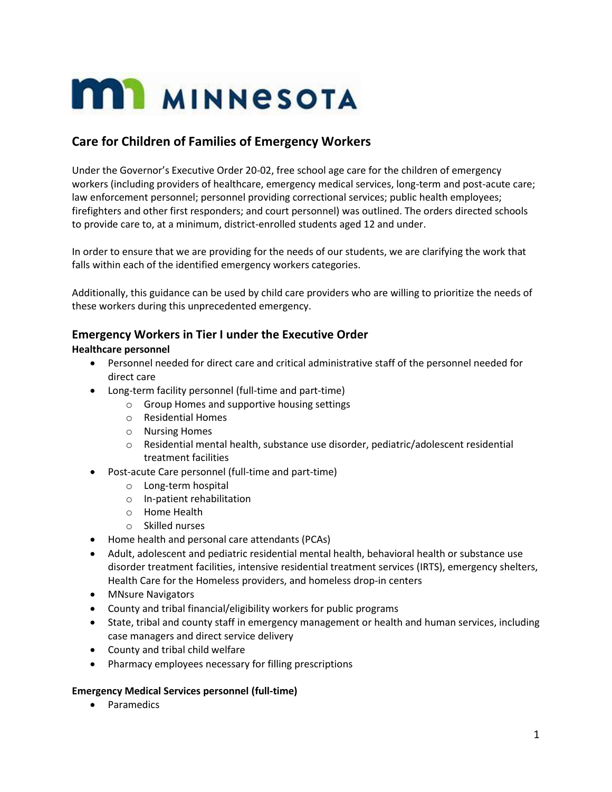# **MI MINNESOTA**

## **Care for Children of Families of Emergency Workers**

Under the Governor's Executive Order 20-02, free school age care for the children of emergency workers (including providers of healthcare, emergency medical services, long-term and post-acute care; law enforcement personnel; personnel providing correctional services; public health employees; firefighters and other first responders; and court personnel) was outlined. The orders directed schools to provide care to, at a minimum, district-enrolled students aged 12 and under.

In order to ensure that we are providing for the needs of our students, we are clarifying the work that falls within each of the identified emergency workers categories.

Additionally, this guidance can be used by child care providers who are willing to prioritize the needs of these workers during this unprecedented emergency.

## **Emergency Workers in Tier I under the Executive Order**

## **Healthcare personnel**

- Personnel needed for direct care and critical administrative staff of the personnel needed for direct care
- Long-term facility personnel (full-time and part-time)
	- o Group Homes and supportive housing settings
	- o Residential Homes
	- o Nursing Homes
	- $\circ$  Residential mental health, substance use disorder, pediatric/adolescent residential treatment facilities
- Post-acute Care personnel (full-time and part-time)
	- o Long-term hospital
	- o In-patient rehabilitation
	- o Home Health
	- o Skilled nurses
- Home health and personal care attendants (PCAs)
- Adult, adolescent and pediatric residential mental health, behavioral health or substance use disorder treatment facilities, intensive residential treatment services (IRTS), emergency shelters, Health Care for the Homeless providers, and homeless drop-in centers
- MNsure Navigators
- County and tribal financial/eligibility workers for public programs
- State, tribal and county staff in emergency management or health and human services, including case managers and direct service delivery
- County and tribal child welfare
- Pharmacy employees necessary for filling prescriptions

## **Emergency Medical Services personnel (full-time)**

• Paramedics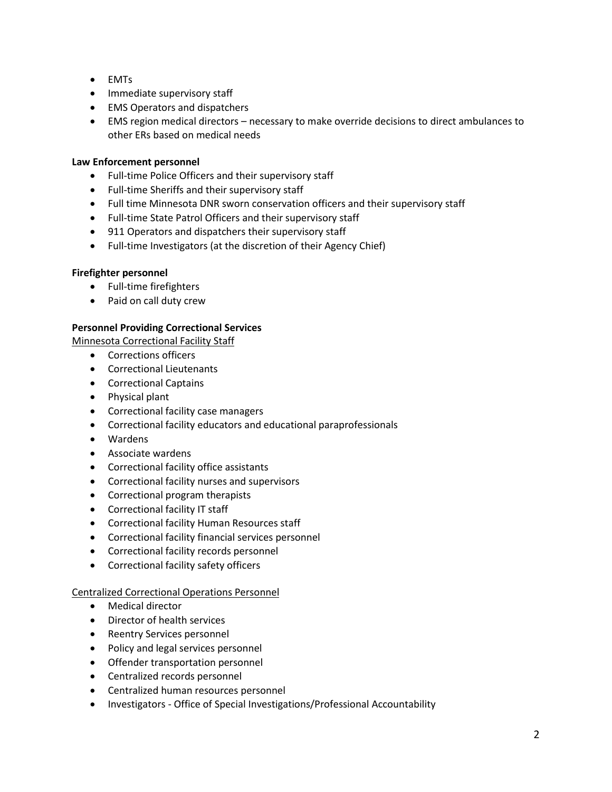- EMTs
- Immediate supervisory staff
- EMS Operators and dispatchers
- EMS region medical directors necessary to make override decisions to direct ambulances to other ERs based on medical needs

## **Law Enforcement personnel**

- Full-time Police Officers and their supervisory staff
- Full-time Sheriffs and their supervisory staff
- Full time Minnesota DNR sworn conservation officers and their supervisory staff
- Full-time State Patrol Officers and their supervisory staff
- 911 Operators and dispatchers their supervisory staff
- Full-time Investigators (at the discretion of their Agency Chief)

## **Firefighter personnel**

- Full-time firefighters
- Paid on call duty crew

## **Personnel Providing Correctional Services**

Minnesota Correctional Facility Staff

- Corrections officers
- Correctional Lieutenants
- Correctional Captains
- Physical plant
- Correctional facility case managers
- Correctional facility educators and educational paraprofessionals
- Wardens
- Associate wardens
- Correctional facility office assistants
- Correctional facility nurses and supervisors
- Correctional program therapists
- Correctional facility IT staff
- Correctional facility Human Resources staff
- Correctional facility financial services personnel
- Correctional facility records personnel
- Correctional facility safety officers

## Centralized Correctional Operations Personnel

- Medical director
- Director of health services
- Reentry Services personnel
- Policy and legal services personnel
- Offender transportation personnel
- Centralized records personnel
- Centralized human resources personnel
- Investigators Office of Special Investigations/Professional Accountability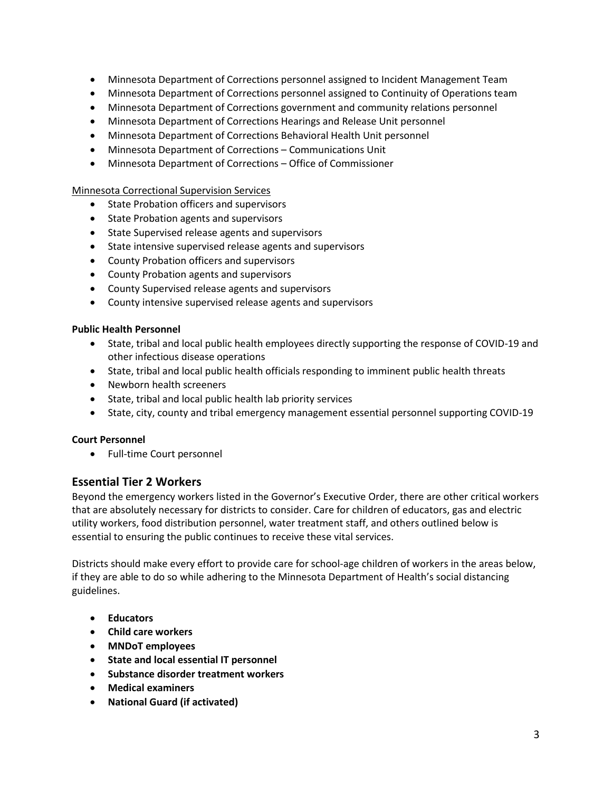- Minnesota Department of Corrections personnel assigned to Incident Management Team
- Minnesota Department of Corrections personnel assigned to Continuity of Operations team
- Minnesota Department of Corrections government and community relations personnel
- Minnesota Department of Corrections Hearings and Release Unit personnel
- Minnesota Department of Corrections Behavioral Health Unit personnel
- Minnesota Department of Corrections Communications Unit
- Minnesota Department of Corrections Office of Commissioner

## Minnesota Correctional Supervision Services

- State Probation officers and supervisors
- State Probation agents and supervisors
- State Supervised release agents and supervisors
- State intensive supervised release agents and supervisors
- County Probation officers and supervisors
- County Probation agents and supervisors
- County Supervised release agents and supervisors
- County intensive supervised release agents and supervisors

## **Public Health Personnel**

- State, tribal and local public health employees directly supporting the response of COVID-19 and other infectious disease operations
- State, tribal and local public health officials responding to imminent public health threats
- Newborn health screeners
- State, tribal and local public health lab priority services
- State, city, county and tribal emergency management essential personnel supporting COVID-19

## **Court Personnel**

• Full-time Court personnel

## **Essential Tier 2 Workers**

Beyond the emergency workers listed in the Governor's Executive Order, there are other critical workers that are absolutely necessary for districts to consider. Care for children of educators, gas and electric utility workers, food distribution personnel, water treatment staff, and others outlined below is essential to ensuring the public continues to receive these vital services.

Districts should make every effort to provide care for school-age children of workers in the areas below, if they are able to do so while adhering to the Minnesota Department of Health's social distancing guidelines.

- **Educators**
- **Child care workers**
- **MNDoT employees**
- **State and local essential IT personnel**
- **Substance disorder treatment workers**
- **Medical examiners**
- **National Guard (if activated)**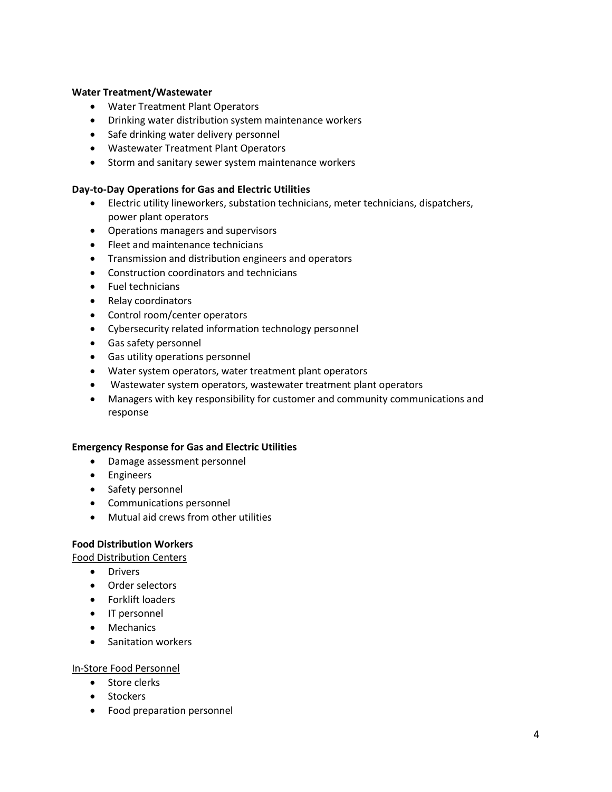#### **Water Treatment/Wastewater**

- Water Treatment Plant Operators
- Drinking water distribution system maintenance workers
- Safe drinking water delivery personnel
- Wastewater Treatment Plant Operators
- Storm and sanitary sewer system maintenance workers

#### **Day-to-Day Operations for Gas and Electric Utilities**

- Electric utility lineworkers, substation technicians, meter technicians, dispatchers, power plant operators
- Operations managers and supervisors
- Fleet and maintenance technicians
- Transmission and distribution engineers and operators
- Construction coordinators and technicians
- Fuel technicians
- Relay coordinators
- Control room/center operators
- Cybersecurity related information technology personnel
- Gas safety personnel
- Gas utility operations personnel
- Water system operators, water treatment plant operators
- Wastewater system operators, wastewater treatment plant operators
- Managers with key responsibility for customer and community communications and response

#### **Emergency Response for Gas and Electric Utilities**

- Damage assessment personnel
- Engineers
- Safety personnel
- Communications personnel
- Mutual aid crews from other utilities

#### **Food Distribution Workers**

- Food Distribution Centers
	- Drivers
	- Order selectors
	- Forklift loaders
	- IT personnel
	- Mechanics
	- Sanitation workers

#### In-Store Food Personnel

- Store clerks
- Stockers
- Food preparation personnel